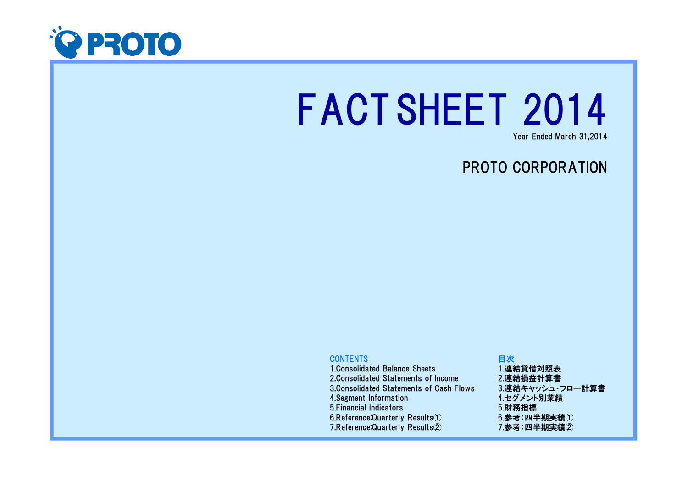

# FACTSHEET 2014

Year Ended March 31,2014

# PROTO CORPORATION

# **CONTENTS**

 1.Consolidated Balance Sheets 2.Consolidated Statements of Income 3.Consolidated Statements of Cash Flows4.Segment Information 5.Financial Indicators 6.Reference:Quarterly Results①7.Reference:Quarterly Results②

# 目次 1.連結貸借対照表 2.連結損益計算書 3.連結キャッシュ・フロー計算書4.セグメント別業績5.財務指標 $6.$ 参考:四半期実績 $(1)$ 7.参考:四半期実績②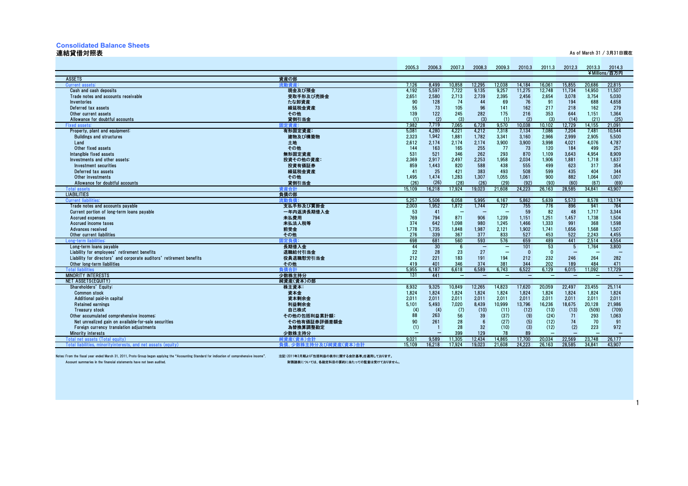# **Consolidated Balance Sheets**

# 連結貸借対照表

1

| 連結貸借対照表                                                                                          |                                   |                 |                 |                          |                          |                          |                          |                                  |                                 |                                 | As of March 31 / 3月31日現在 |
|--------------------------------------------------------------------------------------------------|-----------------------------------|-----------------|-----------------|--------------------------|--------------------------|--------------------------|--------------------------|----------------------------------|---------------------------------|---------------------------------|--------------------------|
|                                                                                                  |                                   |                 |                 |                          |                          |                          |                          |                                  |                                 |                                 |                          |
|                                                                                                  |                                   | 2005.3          | 2006.3          | 2007.3                   | 2008.3                   | 2009.3                   | 2010.3                   | 2011.3                           | 2012.3                          | 2013.3                          | 2014.3                   |
|                                                                                                  |                                   |                 |                 |                          |                          |                          |                          |                                  |                                 |                                 | ¥Millions/百万円            |
| ASSETS                                                                                           | 資産の部                              |                 |                 |                          |                          |                          |                          |                                  |                                 |                                 |                          |
| <b>Current assets</b>                                                                            | 流動資産:                             | 7.126           | 8,499           | 10,858                   | 12.295                   | 12,038                   | 14.184                   | 16.061                           | 15,855                          | 20.686                          | 22.815                   |
| Cash and cash deposits                                                                           | 現金及び預金                            | 4.192           | 5,597           | 7,722                    | 9.135                    | 9,257                    | 11,275                   | 12,748                           | 11,734                          | 14,950                          | 11.507                   |
| Trade notes and accounts receivable                                                              | 受取手形及び売掛金                         | 2,651           | 2,580           | 2,713                    | 2,739                    | 2,395                    | 2,456                    | 2,654                            | 3,078                           | 3,754                           | 5.030                    |
| <b>Inventories</b>                                                                               | たな卸資産                             | 90              | 128             | 74                       | 44                       | 69                       | 76                       | 91                               | 194                             | 688                             | 4.658                    |
| Deferred tax assets<br>Other current assets                                                      | 繰延税金資産<br>その他                     | 55<br>139       | 73<br>122       | 105<br>245               | 96<br>282                | 141<br>175               | 162<br>216               | 217<br>353                       | 218<br>644                      | 162<br>1.151                    | 279<br>1.364             |
| Allowance for doubtful accounts                                                                  | 貸倒引当金                             | (1)             | (2)             | (3)                      | (3)                      | (1)                      | (2)                      | (3)                              | (14)                            | (21)                            | (25)                     |
| <b>Fixed asset</b>                                                                               | 司定資産:                             | 7,982           | 7,719           | 7,065                    | 6,728                    | 9,570                    | 10,038                   | 10,102                           | 12,729                          | 14.155                          | 21,091                   |
| Property, plant and equipment:                                                                   | 有形固定資産:                           | 5.081           | 4,280           | 4,221                    | 4,212                    | 7,318                    | 7,134                    | 7.086                            | 7,204                           | 7.481                           | 10.544                   |
| <b>Buildings and structures</b>                                                                  | 建物及び構築物                           | 2,323           | 1,942           | 1,881                    | 1,782                    | 3,341                    | 3,160                    | 2,966                            | 2,999                           | 2.905                           | 5,500                    |
| $L$ and                                                                                          | 土地                                | 2.612           | 2.174           | 2,174                    | 2,174                    | 3,900                    | 3,900                    | 3.998                            | 4,021                           | 4.076                           | 4.787                    |
| Other fixed assets                                                                               | その他                               | 144             | 163             | 165                      | 255                      | 77                       | 73                       | 120                              | 184                             | 499                             | 257                      |
| Intangible fixed assets                                                                          | 無形固定資産                            | 531             | 521             | 346                      | 262                      | 293                      | 870                      | 1.109                            | 3.643                           | 4.954                           | 8.909                    |
| Investments and other assets:                                                                    | 投資その他の資産:                         | 2.369           | 2.917           | 2,497                    | 2.253                    | 1,958                    | 2,034                    | 1,906                            | 1,881                           | 1,718                           | 1,637                    |
| Investment securities                                                                            | 投資有価証券                            | 859             | 1.443           | 820                      | 588                      | 438                      | 555                      | 499                              | 623                             | 317                             | 354                      |
| Deferred tax assets                                                                              | 繰延税金資産                            | 41              | 25              | 421                      | 383                      | 493                      | 508                      | 599                              | 435                             | 404                             | 344                      |
| Other investments                                                                                | その他                               | 1,495           | 1,474           | 1,283                    | 1,307                    | 1,055                    | 1,061                    | 900                              | 882                             | 1,064                           | 1,007                    |
| Allowance for doubtful accounts                                                                  | 貸倒引当金                             | (26)            | (26)            | (28)                     | (26)                     | (29)                     | (92)                     | (93)                             | (60)                            | (67)                            | (69)                     |
| <b>Total assets</b>                                                                              | 咨産合計                              | 15.109          | 16.218          | 17,924                   | 19.023                   | 21.608                   | 24.223                   | 26.163                           | 28.585                          | 34.841                          | 43.907                   |
| <b>LIABILITIES</b>                                                                               | 負債の部                              |                 |                 |                          |                          |                          |                          |                                  |                                 |                                 |                          |
| <b>Current liab</b>                                                                              | 流動負債:                             | 5,257           | 5,506           | 6,058                    | 5,995                    | 6.167                    | 5,862                    | 5,639                            | 5,573                           | 8,578                           | 13.174                   |
| Trade notes and accounts payable                                                                 | 支払手形及び買掛金                         | 2,003           | 1,952           | 1,872                    | 1.744                    | 727                      | 755                      | 776                              | 896                             | 941                             | 764                      |
| Current portion of long-term loans payable                                                       | 一年内返済長期借入金                        | 53              | 41              |                          |                          |                          | 59                       | 82                               | 48                              | 1,717                           | 3,344                    |
| Accrued expenses                                                                                 | 未払費用                              | 769             | 794             | 871                      | 906                      | 1,239                    | 1.151                    | 1,251                            | 1.457                           | 1.738                           | 1.504                    |
| Accrued income taxes                                                                             | 未払法人税等                            | 374             | 642             | 1.098                    | 980                      | 1.245                    | 1.466                    | 1.333                            | 991                             | 368                             | 1.598                    |
| Advances received                                                                                | 前受金                               | 1,778<br>276    | 1,735           | 1,848                    | 1,987                    | 2,121                    | 1,902                    | 1,741<br>453                     | 1,656                           | 1.568                           | 1,507                    |
| Other current liabilities<br>Long-term liabilit                                                  | その他<br>定負債                        | 698             | 339<br>681      | 367<br>560               | 377<br>593               | 833<br>576               | 527<br>659               | 489                              | 522<br>441                      | 2,243<br>2.514                  | 4,455<br>4,554           |
| Long-term loans payable                                                                          | 長期借入金                             | 44              | 30              | 6                        | $\overline{\phantom{0}}$ | $\overline{\phantom{a}}$ | 101                      | 53                               | -5                              | 1.764                           | 3.800                    |
| Liability for employees' retirement benefits                                                     | 退職給付引当金                           | 22              | 28              | 23                       | 27                       | $\overline{\phantom{a}}$ | $\Omega$                 | $\Omega$                         | $\qquad \qquad -$               |                                 |                          |
| Liability for directors' and corporate auditors' retirement benefits                             | 役員退職慰労引当金                         | 212             | 221             | 183                      | 191                      | 194                      | 212                      | 232                              | 246                             | 264                             | 282                      |
| Other long-term liabilities                                                                      | その他                               | 419             | 401             | 346                      | 374                      | 381                      | 344                      | 202                              | 189                             | 484                             | 471                      |
| <b>Total liabilities</b>                                                                         | 負債合計                              | 5,955           | 6.187           | 6.618                    | 6.589                    | 6.743                    | 6.522                    | 6.129                            | 6.015                           | 11.092                          | 17.729                   |
| <b>MINORITY INTERESTS</b>                                                                        | 少数株主持分                            | 131             | 441             | $\overline{\phantom{a}}$ | <b>1</b>                 | $\overline{\phantom{0}}$ | $\overline{\phantom{0}}$ | $\qquad \qquad$                  | $\overline{\phantom{0}}$        | $\overline{\phantom{0}}$        | $\overline{\phantom{0}}$ |
| NET ASSETS(EQUITY)                                                                               | 純資産(資本)の部                         |                 |                 |                          |                          |                          |                          |                                  |                                 |                                 |                          |
| Shareholders' Equity:                                                                            | 株主資本:                             | 8,932           | 9,325           | 10,849                   | 12,265                   | 14,823                   | 17,620                   | 20,059                           | 22,497                          | 23,455                          | 25,114                   |
| <b>Common stock</b>                                                                              | 資本金                               | 1.824           | 1.824           | 1,824                    | 1.824                    | 1,824                    | 1,824                    | 1,824                            | 1.824                           | 1.824                           | 1.824                    |
| Additional paid-in capital                                                                       | 資本剰余金                             | 2.011           | 2.011           | 2,011                    | 2.011                    | 2.011                    | 2.011                    | 2.011                            | 2.011                           | 2.011                           | 2.011                    |
| <b>Retained earnings</b>                                                                         | 利益剰余金                             | 5.101           | 5.493           | 7,020                    | 8.439                    | 10.999                   | 13,796                   | 16,236                           | 18,675                          | 20.128                          | 21.986                   |
| <b>Treasury stock</b>                                                                            | 自己株式                              | (4)             | (4)             | (7)                      | (10)                     | (11)                     | (12)                     | (13)                             | (13)                            | (509)                           | (709)                    |
| Other accumulated comprehensive incomes:                                                         | その他の包括利益累計額                       | 88              | 263             | 56                       | 39                       | (37)                     | (9)                      | (24)                             | 71                              | 293                             | 1,063                    |
| Net unrealized gain on available-for-sale securities                                             | その他有価証券評価差額金                      | 90              | 261             | 28                       | 6                        | (27)                     | (5)                      | (12)                             | 74                              | 70                              | 91                       |
| Foreign currency translation adjustments                                                         | 為替換算調整勘定                          | (1)             | $\blacksquare$  | 28                       | 32                       | (10)<br>78               | (3)<br>89                | (12)<br>$\overline{\phantom{0}}$ | (2)<br>$\overline{\phantom{0}}$ | 223<br>$\overline{\phantom{0}}$ | 972                      |
| <b>Minority interests</b>                                                                        | 少数株主持分                            |                 |                 | 399<br>11,305            | 129<br>12.434            | 14,865                   | 17.700                   |                                  |                                 |                                 |                          |
| Total net assets (Total equity)<br>Total liabilities, minoritvinterests, and net assats (equity) | 純資産(資本)合計<br>負債、少数株主持分及び純資産(資本)合計 | 9.021<br>15.109 | 9,589<br>16.218 | 17.924                   | 19.023                   | 21.608                   | 24.223                   | 20,034<br>26.163                 | 22,569<br>28.585                | 23,748<br>34.841                | 26,177<br>43.907         |
|                                                                                                  |                                   |                 |                 |                          |                          |                          |                          |                                  |                                 |                                 |                          |

Notes: From the fiscal year ended March 31, 2011, Proto Group began applying the "Accounting Standard for indication of comprehensive income". 注記:2011年3月期より「包括利益の表示に関する会計基準」を適用しております。<br>Account summaries in the financial s

財務諸表については、各勘定科目の要約に当たっての監査は受けておりません。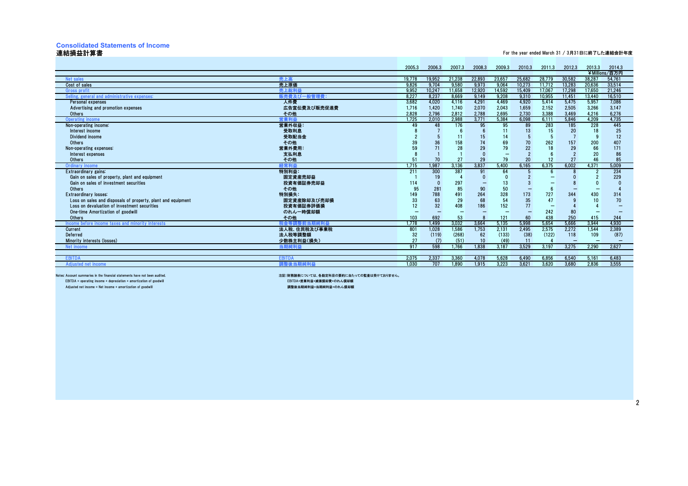# **Consolidated Statements of Income**

### 連結損益計算書

For the year ended March 31 / 3月31日に終了した連結会計年度

|                                                                                              |                      | 2005.3   | 2006.3    | 2007.3    | 2008.3    | 2009.3                   | 2010.3    | 2011.3    | 2012.3                   | 2013.3    | 2014.3                   |
|----------------------------------------------------------------------------------------------|----------------------|----------|-----------|-----------|-----------|--------------------------|-----------|-----------|--------------------------|-----------|--------------------------|
|                                                                                              |                      |          |           |           |           |                          |           |           |                          |           | ¥Millions/百万円            |
| <b>Net sales</b>                                                                             | 高上高                  | 19.778   | 19,952    | 21,238    | 22,893    | 23,657                   | 25,682    | 28.779    | 30.582                   | 38.287    | 54,761                   |
| Cost of sales                                                                                | 売上原価                 | 9.826    | 9.704     | 9,580     | 9,973     | 9,064                    | 10,273    | 11,712    | 13,283                   | 20,636    | 33,514                   |
| <b>Gross profit</b>                                                                          | 売上総利益                | 9.952    | 10.247    | 11.658    | 12.920    | 14.592                   | 15.409    | 17.067    | 17.298                   | 17.650    | 21,246                   |
| Selling, general and administrative expenses:                                                | 販売費及び一般管理費:          | 8.227    | 8,237     | 8,669     | 9,149     | 9,208                    | 9,310     | 10,955    | 11,451                   | 13,440    | 16,510                   |
| Personal expenses                                                                            | 人件費                  | 3,682    | 4,020     | 4,116     | 4,291     | 4,469                    | 4,920     | 5,414     | 5,475                    | 5,957     | 7,086                    |
| Advertising and promotion expenses                                                           | 広告宣伝費及び販売促進費         | 1,716    | 1,420     | 1,740     | 2,070     | 2,043                    | 1,659     | 2,152     | 2,505                    | 3,266     | 3,147                    |
| Others                                                                                       | その他                  | 2.828    | 2.796     | 2.812     | 2.788     | 2,695                    | 2.730     | 3.388     | 3.469                    | 4,216     | 6,276                    |
| <b>Operating income</b>                                                                      | 営業利益                 | 1.725    | 2,010     | 2.988     | 3,771     | 5,384                    | 6,098     | 6,111     | 5,846                    | 4,209     | 4,735                    |
| Non-operating income:                                                                        | 営業外収益:               | 49       | 48        | 176       | 95        | 95                       | 89        | 283       | 185                      | 228       | 445                      |
| Interest income                                                                              | 受取利息                 |          |           | - 6       |           | 11                       | 13        | 15        | 20                       | 18        | 25                       |
| Dividend income                                                                              | 受取配当金                |          |           | 11        | 15        | 14                       |           |           |                          | g         | 12                       |
| Others                                                                                       | その他                  |          | 36        | 158       |           | 69                       | 70        | 262       | 157                      | 200       | 407                      |
| Non-operating expenses:                                                                      | 営業外費用:               | 59       |           | 28        | 29        | 79                       | 22        | 18        | 29                       | 66        | 171                      |
| Interest expenses                                                                            | 支払利息                 |          |           |           |           | $\overline{\phantom{0}}$ |           |           |                          | 20        | 86                       |
| Others                                                                                       | その他                  | 51       | 70        | 27        | 29        | 79                       | 20        | 12        | 27                       | 46        | 85                       |
| <b>Ordinary income</b>                                                                       | 経常利益                 | 1,715    | 1.987     | 3.136     | 3,837     | 5,400                    | 6,165     | 6,375     | 6,002                    | 4,371     | 5,009                    |
| Extraordinary gains:                                                                         | 特別利益:                | 211      | 300       | 387       | 91        | 64                       |           |           |                          |           | 234                      |
| Gain on sales of property, plant and equipment                                               | 固定資産売却益              |          | 19        |           |           |                          |           |           |                          |           | 229                      |
| Gain on sales of investment securities                                                       | 投資有価証券売却益            | 114      |           | 297       |           | 13                       |           |           |                          |           |                          |
| Others                                                                                       | その他                  | 95       | 281       | 85        | 90        | 50                       |           |           |                          |           |                          |
| <b>Extraordinary losses:</b><br>Loss on sales and disposals of property, plant and equipment | 特別損失:<br>固定資産除却及び売却損 | 149      | 788<br>63 | 491<br>29 | 264<br>68 | 328<br>54                | 173<br>35 | 727<br>47 | 344                      | 430<br>10 | 314<br>70                |
| Loss on devaluation of investment securities                                                 | 投資有価証券評価損            | 33<br>12 | 32        | 408       | 186       | 152                      | 77        |           |                          |           |                          |
| One-time Amortization of goodwill                                                            | のれん一時償却額             |          |           |           |           |                          |           | 242       | 80                       |           |                          |
| Others                                                                                       | その他                  | 103      | 692       | 53        |           | 121                      | 60        | 438       | 250                      | 415       | 244                      |
| Income before income taxes and minority interests                                            | 整前当期純利益<br>税金等計      | 1.778    | 1.499     | 3.032     | 3.664     | 5.135                    | 5.998     | 5.654     | 5.666                    | 3.944     | 4.930                    |
| Current                                                                                      | 法人税、住民税及び事業税         | 801      | 1.028     | 1,586     | 1,753     | 2,131                    | 2,495     | 2,575     | 2,272                    | 1,544     | 2,389                    |
| Deferred                                                                                     | 法人税等調整額              | 32       | (119)     | (268)     | 62        | (133)                    | (38)      | (122)     | 118                      | 109       | (87)                     |
| Minority interests (losses)                                                                  | 少数株主利益(損失)           | 27       | (7)       | (51)      | 10        | (49)                     | 11        |           | $\overline{\phantom{0}}$ | $\sim$    | $\overline{\phantom{0}}$ |
| Net income                                                                                   | 当期純利益                | 917      | 598       | 1.766     | 1.838     | 3.187                    | 3.529     | 3.197     | 3.275                    | 2.290     | 2.627                    |
|                                                                                              |                      |          |           |           |           |                          |           |           |                          |           |                          |
| <b>EBITDA</b>                                                                                | EBITD/               | 2.075    | 2,337     | 3,360     | 4.078     | 5,628                    | 6,490     | 6,856     | 6,540                    | 5.161     | 6,483                    |
| <b>Adjusted net income</b>                                                                   | <b>關整後当期純利益</b>      | 1.030    | 707       | 1.890     | 1.915     | 3.223                    | 3.621     | 3.620     | 3.680                    | 2.836     | 3.555                    |
|                                                                                              |                      |          |           |           |           |                          |           |           |                          |           |                          |

 $EBITDA =$  operating income + depreciation + amortization of goodwill  $A$ djusted net income = Net income + amortization of goodwill

Notes: Account summaries in the financial statements have not been audited.<br>Notes: Account summaries in the financial statements have not been audited.<br>EBITDA=歯索利益+減価償却費+のれん償却額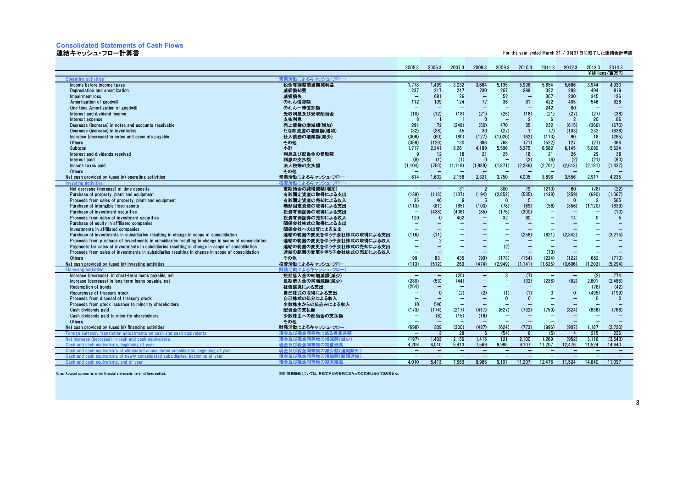# **Consolidated Statements of Cash Flows**

### 連結キャッシュ・フロー計算書

For the year ended March 31 / 3月31日に終了した連結会計年度

|                                                                                                                                                                                              |                                                      | 2005.3                            | 2006.3                          | 2007.3                   | 2008.3                           | 2009.3                         | 2010.3                   | 2011.3                   | 2012.3                   | 2013.3                   | 2014.3                   |
|----------------------------------------------------------------------------------------------------------------------------------------------------------------------------------------------|------------------------------------------------------|-----------------------------------|---------------------------------|--------------------------|----------------------------------|--------------------------------|--------------------------|--------------------------|--------------------------|--------------------------|--------------------------|
|                                                                                                                                                                                              |                                                      |                                   |                                 |                          |                                  |                                |                          |                          |                          |                          | ¥Millions/百万円            |
| <b>Operating activities</b>                                                                                                                                                                  | ま業活動によるキャッシュ・フロー:                                    |                                   |                                 |                          |                                  |                                |                          |                          |                          |                          |                          |
| Income before income taxes                                                                                                                                                                   | 税金等調整前当期純利益                                          | 1.778                             | 1,499                           | 3,032                    | 3,664                            | 5,135                          | 5.998                    | 5,654                    | 5.666                    | 3.944                    | 4.930                    |
| Depreciation and amortization                                                                                                                                                                | 減価償却費                                                | 237                               | 217                             | 247                      | 230                              | 207                            | 299                      | 322                      | 288                      | 404                      | 819                      |
| Impairment loss                                                                                                                                                                              | 減損損失                                                 | $\overline{\phantom{0}}$          | 681                             | 26                       | $\overline{\phantom{0}}$         | 52                             | $\overline{\phantom{0}}$ | 367                      | 230                      | 345                      | 126                      |
| Amortization of goodwill                                                                                                                                                                     | のれん償却額                                               | 112                               | 109                             | 124                      | 77                               | 36                             | 91                       | 422                      | 405                      | 546                      | 928                      |
| One-time Amortization of goodwill                                                                                                                                                            | のれん一時償却額                                             |                                   |                                 |                          |                                  | $\overline{\phantom{0}}$       |                          | 242                      | 80                       | $\overline{\phantom{0}}$ |                          |
| Interest and dividend income                                                                                                                                                                 | 受取利息及び受取配当金                                          | (10)                              | (12)                            | (18)                     | (21)                             | (25)                           | (18)                     | (21)                     | (27)                     | (27)                     | (38)                     |
| Interest expense                                                                                                                                                                             | 支払利息                                                 | -8                                |                                 |                          | $\Omega$                         | $\overline{\phantom{0}}$       | $\overline{2}$           | 6                        | $\overline{2}$           | 20                       | 86                       |
| Decrease (increase) in notes and accounts receivable                                                                                                                                         | 売上債権の増減額(増加)                                         | 291                               | 72                              | (248)                    | (50)                             | 470                            | 35                       | 232                      | (615)                    | (366)                    | (670)                    |
| Decrease (increase) in inventories                                                                                                                                                           | たな卸資産の増減額(増加)                                        | (32)                              | (38)                            | 45                       | 30                               | (27)                           | $\overline{1}$           | (7)                      | (103)                    | 232                      | (638)                    |
| Increase (decrease) in notes and accounts payable                                                                                                                                            | 仕入債務の増減額(減少)                                         | (308)                             | (60)                            | (80)                     | (127)                            | (1,020)                        | (62)                     | (113)                    | 90                       | 18                       | (285)                    |
| Others                                                                                                                                                                                       | その他                                                  | (359)                             | (129)                           | 130                      | 386                              | 768                            | (71)                     | (522)                    | 127                      | (27)                     | 366                      |
| Subtotal                                                                                                                                                                                     | 小計                                                   | 1.717                             | 2.341                           | 3,261                    | 4,189                            | 5,596                          | 6,275                    | 6,582                    | 6.145                    | 5,090                    | 5,624                    |
| Interest and dividends received                                                                                                                                                              | 利息及び配当金の受取額                                          | <b>g</b>                          | 12                              | 18                       | 21                               | 25                             | 18                       | 21                       | 26                       | 29                       | 38                       |
| Interest paid                                                                                                                                                                                | 利息の支払額                                               | (8)                               | (1)                             | (1)                      | $\Omega$                         | $\sim$                         | (2)                      | (6)                      | (2)                      | (21)                     | (90)                     |
| Income taxes paid                                                                                                                                                                            | 法人税等の支払額                                             | (1.104)                           | (750)                           | (1.119)                  | (1.889)                          | (1, 871)                       | (2, 286)                 | (2,701)                  | (2,613)                  | (2, 181)                 | (1, 337)                 |
| Others                                                                                                                                                                                       | その他                                                  |                                   |                                 |                          |                                  |                                |                          |                          |                          |                          |                          |
| Net cash provided by (used in) operating activities                                                                                                                                          | 営業活動によるキャッシュ・フロー                                     | 614                               | 1,602                           | 2,158                    | 2,321                            | 3,750                          | 4.005                    | 3,896                    | 3,556                    | 2,917                    | 4.235                    |
| Investing activities                                                                                                                                                                         | 投資活動によるキャッシュ・フロー                                     |                                   |                                 |                          |                                  |                                |                          |                          |                          |                          |                          |
| Net decrease (increase) of time deposits                                                                                                                                                     | 定期預金の純増減額(増加)                                        | $-$                               | $\qquad \qquad -$               | 31                       | $\overline{2}$                   | 300                            | 79                       | (210)                    | 60                       | (78)                     | (22)                     |
| Purchase of property, plant and equipment                                                                                                                                                    | 有形固定資産の取得による支出                                       | (139)                             | (113)                           | (137)                    | (194)                            | (2,852)                        | (535)                    | (438)                    | (359)                    | (690)                    | (1,067)                  |
| Proceeds from sales of property, plant and equipment                                                                                                                                         | 有形固定資産の売却による収入                                       | 35                                | 46                              | -9                       | -5                               | $\mathbf{0}$                   | 5                        | $\blacksquare$           | $\mathbf{0}$             | 3                        | 565                      |
| Purchase of intangible fixed assets<br>Purchase of investment securities                                                                                                                     | 無形固定資産の取得による支出                                       | (113)<br>$\overline{\phantom{0}}$ | (81)                            | (65)                     | (103)                            | (78)                           | (69)                     | (58)                     | (356)                    | (1, 120)                 | (839)                    |
| Proceeds from sales of investment securities                                                                                                                                                 | 投資有価証券の取得による支出                                       |                                   | (438)<br>$\Omega$               | (406)                    | (85)<br>$\overline{\phantom{0}}$ | (175)                          | (300)<br>90              | $\overline{\phantom{0}}$ | 14                       | $\mathbf{0}$             | (10)<br>5                |
|                                                                                                                                                                                              | 投資有価証券の売却による収入                                       | 120                               |                                 | 402                      |                                  | 32<br>$\overline{\phantom{0}}$ | $\overline{\phantom{0}}$ |                          |                          |                          |                          |
| Purchase of equity in affiliated companies<br>Investments in affiliated companies                                                                                                            | 関係会社株式の取得による支出<br>関係会社への出資による支出                      |                                   |                                 |                          |                                  |                                |                          |                          |                          |                          |                          |
|                                                                                                                                                                                              |                                                      |                                   | (11)                            |                          |                                  |                                | (258)                    | (621)                    | (2,842)                  | $\overline{\phantom{0}}$ | (3,215)                  |
| Purchase of investments in subsidiaries resulting in change in scope of consolidation<br>Proceeds from purchase of investments in subsidiaries resulting in change in scope of consolidation | 連結の範囲の変更を伴う子会社株式の取得による支出<br>連結の範囲の変更を伴う子会社株式の取得による収入 | (116)                             | $\overline{2}$                  |                          |                                  |                                |                          |                          |                          |                          |                          |
| Payments for sales of investments in subsidiaries resulting in change in scope of consolidation                                                                                              | 連結の範囲の変更を伴う子会社株式の売却による支出                             | $\overline{\phantom{0}}$          | $\overline{\phantom{0}}$        | $\overline{\phantom{0}}$ |                                  | (2)                            | $\overline{\phantom{0}}$ | $\overline{\phantom{0}}$ |                          |                          |                          |
| Proceeds from sales of investments in subsidiaries resulting in change in scope of consolidation                                                                                             | 連結の範囲の変更を伴う子会社株式の売却による収入                             |                                   |                                 |                          |                                  |                                |                          | (73)                     |                          |                          |                          |
| Others                                                                                                                                                                                       | その他                                                  | 99                                | 83                              | 435                      | (99)                             | (173)                          | (154)                    | (224)                    | (122)                    | 682                      | (710)                    |
| Net cash provided by (used in) investing activities                                                                                                                                          | 投資活動によるキャッシュ・フロー                                     | (113)                             | (512)                           | 269                      | (474)                            | (2.949)                        | (1.141)                  | (1,625)                  | (3,606)                  | (1.203)                  | (5, 294)                 |
| <b>Financing activi</b>                                                                                                                                                                      | 財務活動によるキャッシュ・フロー                                     |                                   |                                 |                          |                                  |                                |                          |                          |                          |                          |                          |
| Increase (decrease) in short-term loans payable, net                                                                                                                                         | 短期借入金の純増減額(減少)                                       | $\qquad \qquad -$                 | $\overline{\phantom{m}}$        | (20)                     | $\overline{\phantom{m}}$         | 3                              | (7)                      | $\overline{\phantom{m}}$ | $\overline{\phantom{a}}$ | (2)                      | 774                      |
| Increase (decrease) in long-term loans payable, net                                                                                                                                          | 長期借入金の純増減額(減少)                                       | (280)                             | (53)                            | (44)                     |                                  | $\overline{\phantom{0}}$       | (32)                     | (236)                    | (82)                     | 2,601                    | (2, 486)                 |
| Redemption of bonds                                                                                                                                                                          | 社債償還による支出                                            | (254)                             |                                 |                          |                                  |                                |                          |                          | $\overline{\phantom{0}}$ | (78)                     | (42)                     |
| Repurchase of treasury stock                                                                                                                                                                 | 自己株式の取得による支出                                         |                                   | $\mathbf{0}$                    | (2)                      | (2)                              | (1)                            | (1)                      | $\mathbf{0}$             | $\Omega$                 | (495)                    | (199)                    |
| Proceeds from disposal of treasury stock                                                                                                                                                     | 自己株式の処分による収入                                         |                                   |                                 | $\overline{\phantom{0}}$ | $\overline{\phantom{a}}$         | $\mathbf{0}$                   | $\Omega$                 | $\overline{\phantom{0}}$ | $\overline{\phantom{0}}$ | $\mathbf{0}$             | $\Omega$                 |
| Proceeds from stock issuance to minority shareholders                                                                                                                                        | 少数株主からの払込みによる収入                                      | 10                                | 546                             | $\overline{\phantom{0}}$ |                                  |                                |                          |                          |                          |                          |                          |
| Cash dividends paid                                                                                                                                                                          | 配当金の支払額                                              | (173)                             | (174)                           | (217)                    | (417)                            | (627)                          | (732)                    | (759)                    | (824)                    | (836)                    | (766)                    |
| Cash dividends paid to minority shareholders                                                                                                                                                 | 少数株主への配当金の支払額                                        |                                   | (8)                             | (15)                     | (16)                             | $\overline{\phantom{0}}$       |                          |                          |                          |                          |                          |
| Others                                                                                                                                                                                       | その他                                                  |                                   | $\overline{\phantom{0}}$        |                          |                                  |                                |                          | $\equiv$                 | L,                       |                          |                          |
| Net cash provided by (used in) financing activities                                                                                                                                          | 財務活動によるキャッシュ・フロー                                     | (698)                             | 309                             | (300)                    | (437)                            | (624)                          | (773)                    | (996)                    | (907)                    | 1.187                    | (2.720)                  |
| Foreign currency translation adjustments on cash and cash equivalents                                                                                                                        | 1に係る梅<br>現金及び現金                                      | $-$                               |                                 | -28                      | -6                               | (54)                           | -8                       | (5)                      | $\mathbf{A}$             | 215                      | 236                      |
| Net increase (decrease) in cash and cash equivalents                                                                                                                                         | 現金及び現金同等物の増減額(減少)                                    | (197)                             | 1.403                           | 2.156                    | 1.415                            | 121                            | 2.100                    | 1.269                    | (952)                    | 3.116                    | (3,543)                  |
| Cash and cash equivalents, beginning of year                                                                                                                                                 | 現金及び現金同等物の期首残高                                       | 4.208                             | 4.010                           | 5.413                    | 7.569                            | 8.985                          | 9.107                    | 11.207                   | 12.476                   | 11.524                   | 14.640                   |
| Cash and cash equivalents of eliminated consolidated subsidiaries, beginning of vear                                                                                                         | 現金及び現金<br>等物の減少額(連約<br>除外)                           | $-$                               | $\hspace{0.1mm}-\hspace{0.1mm}$ | $-$                      | $\overline{\phantom{a}}$         | $\overline{\phantom{a}}$       | $\overline{\phantom{0}}$ | $\overline{\phantom{0}}$ | <u>_</u>                 | $\overline{\phantom{0}}$ | $\overline{\phantom{0}}$ |
| Cash and cash equivalents of newly consolidated subsidiaries, beginning of year                                                                                                              | 現金及び現<br>等物の増加                                       | $\overline{\phantom{a}}$          | $\overline{\phantom{0}}$        | $\qquad \qquad -$        | $\overline{\phantom{0}}$         | $\overline{\phantom{a}}$       | $\overline{\phantom{0}}$ | $\overline{\phantom{0}}$ | $\overline{\phantom{0}}$ | $\qquad \qquad -$        | $\overline{\phantom{a}}$ |
| Cash and cash equivalents, end of year                                                                                                                                                       | 現金及び現金<br> 等物の期末残高                                   | 4.010                             | 5.413                           | 7.569                    | 8.985                            | 9.107                          | 11.207                   | 12.476                   | 11.524                   | 14.640                   | 11.097                   |
|                                                                                                                                                                                              |                                                      |                                   |                                 |                          |                                  |                                |                          |                          |                          |                          |                          |

Notes: Account summaries in the financial statements have not been audited.

注記:財務諸表については、各勘定科目の要約に当たっての監査は受けておりません。

3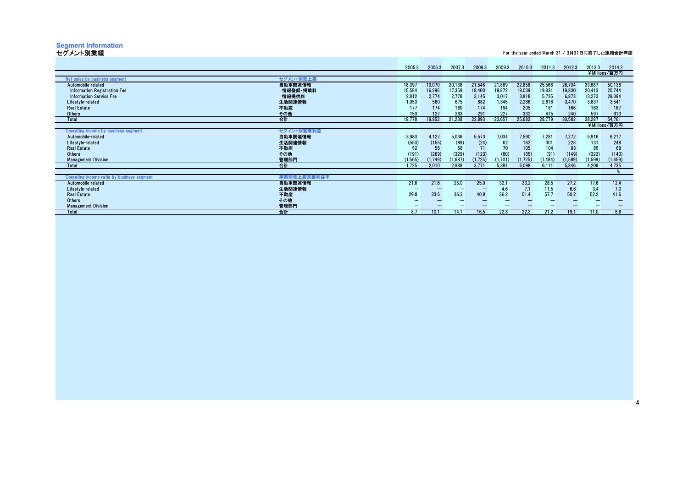# **Segment Information** セグメント別業績

For the year ended March 31 / 3月31日に終了した連結会計年度

4

|                                            |             | 2005.3   | 2006.3  | 2007.3  | 2008.3   | 2009.3  | 2010.3  | 2011.3   | 2012.3  | 2013.3  | 2014.3<br>¥Millions/百万円 |
|--------------------------------------------|-------------|----------|---------|---------|----------|---------|---------|----------|---------|---------|-------------------------|
| Net sales by business segment              | セグメント別売上高   |          |         |         |          |         |         |          |         |         |                         |
| Automobile-related                         | 自動車関連情報     | 18,397   | 19,070  | 20,138  | 21,546   | 21,889  | 22,858  | 25,566   | 26,704  | 33,687  | 50,138                  |
| <b>Information Registration Fee</b>        | 情報登録·掲載料    | 15,584   | 16,296  | 17,359  | 18,400   | 18,872  | 19,039  | 19,831   | 19,830  | 20,413  | 20,744                  |
| <b>Information Service Fee</b>             | 情報提供料       | 2,812    | 2,774   | 2,778   | 3.145    | 3,017   | 3,818   | 5,735    | 6,873   | 13,273  | 29,394                  |
| Lifestyle-related                          | 生活関連情報      | 1,053    | 580     | 675     | 882      | 1,345   | 2,286   | 2,616    | 3,470   | 3,837   | 3,541                   |
| <b>Real Estate</b>                         | 不動産         | 177      | 174     | 160     | 174      | 194     | 205     | 181      | 166     | 163     | 167                     |
| <b>Others</b>                              | その他         | 150      | 127     | 263     | 291      | 227     | 332     | 415      | 240     | 597     | 913                     |
| Total                                      | 合計          | 19.778   | 19.952  | 21,238  | 22,893   | 23,657  | 25,682  | 28,779   | 30,582  | 38,287  | 54,761                  |
|                                            |             |          |         |         |          |         |         |          |         |         | ¥Millions/百万円           |
| Operating income by business segment       | セグメント別営業利益  |          |         |         |          |         |         |          |         |         |                         |
| Automobile-related                         | 自動車関連情報     | 3,980    | 4,127   | 5,036   | 5,573    | 7,034   | 7,590   | 7,281    | 7,272   | 5,916   | 6,217                   |
| Lifestyle-related                          | 生活関連情報      | (550)    | (155)   | (89)    | (24)     | 62      | 162     | 301      | 228     | 131     | 248                     |
| <b>Real Estate</b>                         | 不動産         | 52       | 58      | 58      | 71       | 70      | 105     | 104      | 83      | 85      | 69                      |
| <b>Others</b>                              | その他         | (191)    | (269)   | (329)   | (123)    | (80)    | (35)    | (91)     | (149)   | (323)   | (140)                   |
| <b>Management Division</b>                 | 管理部門        | (1, 565) | (1.749) | (1,687) | (1, 725) | (1,701) | (1.725) | (1, 484) | (1,589) | (1,599) | (1,659)                 |
| Total                                      | 合計          | 1.725    | 2.010   | 2.988   | 3.771    | 5.384   | 6.098   | 6.111    | 5.846   | 4.209   | 4.735                   |
| Operating income ratio by business segment | 事業別売上高営業利益率 |          |         |         |          |         |         |          |         |         |                         |
| Automobile-related                         | 自動車関連情報     | 21.6     | 21.6    | 25.0    | 25.9     | 32.1    | 33.2    | 28.5     | 27.2    | 17.6    | 12.4                    |
| Lifestyle-related                          | 生活関連情報      |          |         |         |          | 4.6     | 7.1     | 11.5     | 6.6     | 3.4     | 7.0                     |
| <b>Real Estate</b>                         | 不動産         | 29.8     | 33.6    | 36.3    | 40.9     | 36.2    | 51.4    | 57.7     | 50.2    | 52.2    | 41.6                    |
| Others                                     | その他         |          |         |         |          |         |         |          |         |         |                         |
| <b>Management Division</b>                 | 管理部門        |          |         |         |          |         |         |          |         |         |                         |
| Total                                      | 合計          | 8.7      | 10.1    | 14.1    | 16.5     | 22.8    | 22.3    | 21.2     | 19.1    | 1.0     | 8.6                     |
|                                            |             |          |         |         |          |         |         |          |         |         |                         |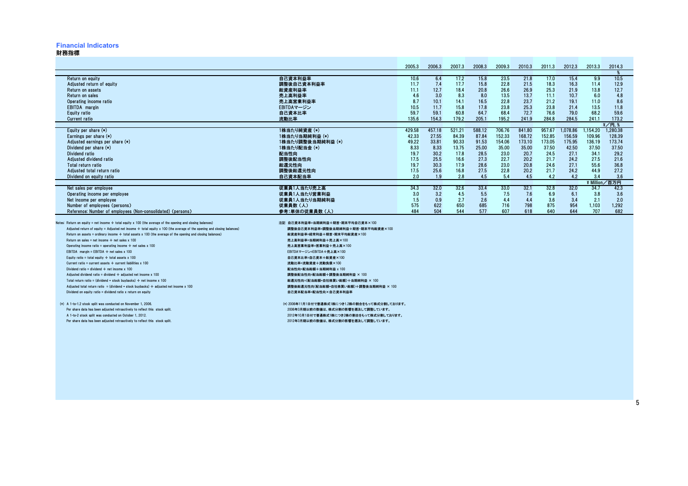## **Financial Indicators**

### 財務指標

|                                                                                                                             |                                       | 2005.3 | 2006.3 | 2007.3 | 2008.3 | 2009.3 | 2010.3 | 2011.3 | 2012.3   | 2013.3     | 2014.3              |
|-----------------------------------------------------------------------------------------------------------------------------|---------------------------------------|--------|--------|--------|--------|--------|--------|--------|----------|------------|---------------------|
|                                                                                                                             |                                       |        |        |        |        |        |        |        |          |            |                     |
| Return on equity                                                                                                            | 自己資本利益率                               | 10.6   | 6.4    | 17.2   | 15.8   | 23.5   | 21.8   | 17.0   | 15.4     | 9.9        | 10.5                |
| Adjusted return of equity                                                                                                   | 調整後自己資本利益率                            | 11.7   | 7.4    | 17.7   | 15.8   | 22.8   | 21.5   | 18.3   | 16.3     | 11.4       | 12.9                |
| Return on assets                                                                                                            | 総資産利益率                                | 11.1   | 12.7   | 18.4   | 20.8   | 26.6   | 26.9   | 25.3   | 21.9     | 13.8       | 12.7                |
| Return on sales                                                                                                             | 売上高利益率                                | 4.6    | 3.0    | 8.3    | 8.0    | 13.5   | 13.7   | 11.1   | 10.7     | 6.0        | 4.8                 |
| Operating income ratio                                                                                                      | 売上高営業利益率                              | 8.7    | 10.1   | 14.1   | 16.5   | 22.8   | 23.7   | 21.2   | 19.1     | 11.0       | 8.6                 |
| <b>EBITDA</b> margin                                                                                                        | EBITDAマージン                            | 10.5   | 11.7   | 15.8   | 17.8   | 23.8   | 25.3   | 23.8   | 21.4     | 13.5       | 11.8                |
| Equity ratio                                                                                                                | 自己資本比率                                | 59.7   | 59.1   | 60.8   | 64.7   | 68.4   | 72.7   | 76.6   | 79.0     | 68.2       | 59.6                |
| <b>Current ratio</b>                                                                                                        | 流動比率                                  | 135.6  | 154.3  | 179.2  | 205.1  | 195.2  | 241.9  | 284.8  | 284.5    | 241.1      | 173.2               |
|                                                                                                                             |                                       |        |        |        |        |        |        |        |          |            | $\frac{2}{7}$ /円. % |
| Equity per share $(*)$                                                                                                      | 1株当たり純資産 (*)                          | 429.58 | 457.18 | 521.21 | 588.12 | 706.76 | 841.80 | 957.67 | 1.078.86 | .154.20    | 1.280.38            |
| Earnings per share $(*)$                                                                                                    | 1株当たり当期純利益 (*)                        | 42.33  | 27.55  | 84.39  | 87.84  | 152.33 | 168.72 | 152.85 | 156.59   | 109.96     | 128.39              |
| Adjusted earnings per share (*)                                                                                             | 1株当たり調整後当期純利益 (*)                     | 49.22  | 33.81  | 90.33  | 91.53  | 154.06 | 173.10 | 173.05 | 175.95   | 136.19     | 173.74              |
| Dividend per share (*)                                                                                                      | 1株当たり配当金 (*)                          | 8.33   | 8.33   | 13.75  | 25.00  | 35.00  | 35.00  | 37.50  | 42.50    | 37.50      | 37.50               |
| Dividend ratio                                                                                                              | 配当性向                                  | 19.7   | 30.2   | 17.8   | 28.5   | 23.0   | 20.7   | 24.5   | 27.1     | 34.1       | 29.2                |
| Adjusted dividend ratio                                                                                                     | 調整後配当性向                               | 17.5   | 25.5   | 16.6   | 27.3   | 22.7   | 20.2   | 21.7   | 24.2     | 27.5       | 21.6                |
| Total return ratio                                                                                                          | 総還元性向                                 | 19.7   | 30.3   | 17.9   | 28.6   | 23.0   | 20.8   | 24.6   | 27.1     | 55.6       | 36.8                |
| Adjusted total return ratio                                                                                                 | 調整後総還元性向                              | 17.5   | 25.6   | 16.8   | 27.5   | 22.8   | 20.2   | 21.7   | 24.2     | 44.9       | 27.2                |
| Dividend on equity ratio                                                                                                    | 自己資本配当率                               | 2.0    | 1.9    | 2.8    | 4.5    | 5.4    | 4.5    | 4.2    | 4.2      | 3.4        | 3.6                 |
|                                                                                                                             |                                       |        |        |        |        |        |        |        |          | ¥ Million. | 有万円                 |
| Net sales per employee                                                                                                      | 従業員1人当たり売上高                           | 34.3   | 32.0   | 32.6   | 33.4   | 33.0   | 32.1   | 32.8   | 32.0     | 34.7       | 42.3                |
| Operating income per employee                                                                                               | 従業員1人当たり営業利益                          | 3.0    | 3.2    | 4.5    | 5.5    | 7.5    | 7.6    | 6.9    | 6.1      | 3.8        | 3.6                 |
| Net income per employee                                                                                                     | 従業員1人当たり当期純利益                         | 1.5    | 0.9    | 2.7    | 2.6    | 4.4    | 4.4    | 3.6    | 3.4      | 2.1        | 2.0                 |
| Number of employees (persons)                                                                                               | 従業員数(人)                               | 575    | 622    | 650    | 685    | 716    | 798    | 875    | 954      | 1,103      | 1,292               |
| Reference: Number of employees (Non-consolidated) (persons)                                                                 | 参考:単体の従業員数(人)                         | 484    | 504    | 544    | 577    | 607    | 618    | 640    | 644      | 707        | 682                 |
| Notes: Return on equity = net income $\div$ total equity x 100 (the average of the opening and closing balances)            | 注記 自己資本利益率=当期純利益÷期首·期末平均自己資本×100      |        |        |        |        |        |        |        |          |            |                     |
| Adjusted return of equity = Adjusted net income $\div$ total equity x 100 (the average of the opening and closing balances) | 調整後自己資本利益率=調整後当期純利益÷期首·期末平均総資産×100    |        |        |        |        |        |        |        |          |            |                     |
| Return on assets = ordinary income $\div$ total assets x 100 (the average of the opening and closing balances)              | 総資産利益率=経常利益÷期首·期末平均総資産×100            |        |        |        |        |        |        |        |          |            |                     |
| Return on sales = net income $\div$ net sales x 100                                                                         | 売上高利益率=当期純利益÷売上高×100                  |        |        |        |        |        |        |        |          |            |                     |
| Operating income ratio = operating income $\div$ net sales x 100                                                            | 売上高営業利益率=営業利益÷売上高×100                 |        |        |        |        |        |        |        |          |            |                     |
| EBITDA margin = EBITDA $\div$ net sales x 100                                                                               | EBITDAマージン=EBITDA÷売上高×100             |        |        |        |        |        |        |        |          |            |                     |
| Equity ratio = total equity $\div$ total assets x 100                                                                       | 自己資本比率=自己資本÷総資産×100                   |        |        |        |        |        |        |        |          |            |                     |
| Current ratio = current assets $\div$ current liabilities x 100                                                             | 流動比率=流動資産÷流動負債×100                    |        |        |        |        |        |        |        |          |            |                     |
| Dividend ratio = dividend $\div$ net income x 100                                                                           | 配当性向=配当総額÷当期純利益 x 100                 |        |        |        |        |        |        |        |          |            |                     |
| Adjusted dividend ratio = dividend $\div$ adjusted net income x 100                                                         | 調整後配当性向=配当総額÷調整後当期純利益 × 100           |        |        |        |        |        |        |        |          |            |                     |
| Total return ratio = (dividend + stock buybacks) $\div$ net income x 100                                                    | 総還元性向=(配当総額+自社株買い総額)÷当期純利益 × 100      |        |        |        |        |        |        |        |          |            |                     |
| Adjusted total return ratio = (dividend + stock buybacks) $\div$ adjusted net income x 100                                  | 調整後総還元性向(配当総額+自社株買い総額)÷調整後当期純利益 × 100 |        |        |        |        |        |        |        |          |            |                     |
| Dividend on equity ratio = dividend ratio $x$ return on equity                                                              | 自己資本配当率=配当性向×自己資本利益率                  |        |        |        |        |        |        |        |          |            |                     |

Per share data has been adjusted retroactively to reflect this stock split.<br>A 1-to-2 stock split was conducted on October 1, 2012.

(\*) A 1-to-1.2 stock split was conducted on November 1, 2006.<br>Per share data has been adjusted retroactively to reflect this stock split. アンチャング アクタン アクタン アクタン アクタン アクタン 2006年3月期以前の数値は、株式分割の影響を遡及して調整しています。 A 1-to-2 stock split was conducted on October 1, 2012. 2012年10月1日付で普通株式1株につき2株の割合をもって株式分割しております。Per share data has been adjusted retroactively to reflect this stock split. 2012年3月期以前の数値は、株式分割の影響を遡及して調整しています。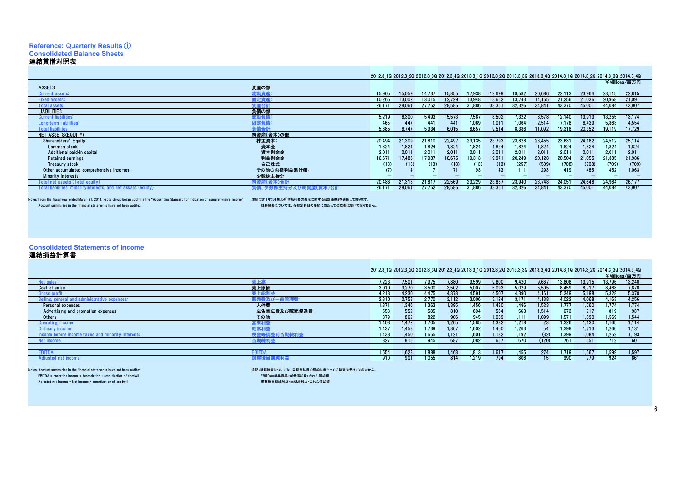# **Reference: Quarterly Results** ① **Consolidated Balance Sheets**連結貸借対照表As of March 31 / 3月31日現在

# 2012.3\_1Q 2012.3\_2Q 2012.3\_3Q 2012.3\_4Q 2013.3\_1Q 2013.3\_2Q 2013.3\_3Q 2013.3\_4Q 2014.3\_1Q 2014.3\_2Q 2014.3\_3Q 2014.3\_4Q ¥Millions/百万円

|                           |                                          |             |        |        |        |        |        |        |                  |        |        |        |        | $+$ $\cdots$ $\cdots$ $\cdots$ |  |
|---------------------------|------------------------------------------|-------------|--------|--------|--------|--------|--------|--------|------------------|--------|--------|--------|--------|--------------------------------|--|
| <b>ASSETS</b>             |                                          | 資産の部        |        |        |        |        |        |        |                  |        |        |        |        |                                |  |
| Current assets:           |                                          | 朮動貧産        | 15,905 | 15.059 | 4.73   |        | 7.938  | 19,699 | 18.58:           | 20.686 | 22.113 | 23.96  | 23.115 | 22,815                         |  |
| <b>Fixed assets:</b>      |                                          | 1定資産.       | 10,265 | 13.00: | 13.015 | 12.729 | 13.94  | 13,652 | 13.74:           |        | 21.256 | 21.036 | 20.968 | 21,091                         |  |
| <b>Total assets</b>       |                                          | 産合計         | 26,17  | 28,06  | 27,752 | 28,585 | 31,886 | 33,35  | 32,326           | 34,841 | 43,370 | 45,00  | 44,084 | 43,907                         |  |
| <b>LIABILITIES</b>        |                                          | 負債の部        |        |        |        |        |        |        |                  |        |        |        |        |                                |  |
| <b>Current liabilitie</b> |                                          |             | 5.219  | 6.300  | 5.493  | 5.573  | 1.58   | 8.502  | 1.322            | 8.578  |        | 3.913  | 3.255  | 13.174                         |  |
| .ong-term liabilities:    |                                          |             | 465    |        | 441    |        |        | 1.011  | .06 <sub>1</sub> | 2.514  |        | 6.439  | 5.863  | 4.554                          |  |
| <b>Total liabilities</b>  |                                          | 青合計         | 5.685  | 6.747  | 5.934  | 6.015  | 8.657  | 9.514  | 8.386            | 1.092  | 19,318 | 20,352 | 19.119 | 17,729                         |  |
| NET ASSETS(EQUITY)        |                                          | 純資産(資本)の部   |        |        |        |        |        |        |                  |        |        |        |        |                                |  |
| Shareholders' Equity:     |                                          | 株主資本:       | 20,494 | 21,309 | 21,810 | 22.49  | 23.135 | 23,793 | 23,828           | 23,455 | 23,631 | 24.182 | 24.512 | 25,114                         |  |
| <b>Common stock</b>       |                                          | 資本金         | 1,824  | 1,824  | 1,824  | 1.824  | 1.824  | 1,824  | 1,824            | 1,824  | 1,824  | 1,824  | 1,824  | 1,824                          |  |
|                           | Additional paid-in capital               | 資本剰余金       | 2,011  | 2,011  | 2,011  | 2,011  | 2,011  | 2,011  | 2.011            | 2,011  | 2,011  | 2,011  | 2.011  | 2,011                          |  |
| <b>Retained earnings</b>  |                                          | 利益剰余金       | 16,67  | 17.486 | 17,987 | 18,675 | 19,313 | 19,971 | 20,249           | 20,128 | 20.504 | 21.055 | 21,385 | 21,986                         |  |
| <b>Treasury stock</b>     |                                          | 自己株式        | (13)   | (13)   | (13)   | (13)   | (13)   | (13)   | (257)            | (509)  | (708)  | (708)  | (709)  | (709)                          |  |
|                           | Other accumulated comprehensive incomes: | その他の包括利益累計額 | (7)    |        |        |        | 93     |        | 111              | 293    | 419    | 465    | 452    | 1,063                          |  |
| <b>Minority interests</b> |                                          | 少数株主持分      | -      |        |        |        |        |        |                  |        |        |        |        |                                |  |
| 「otal net assets (T       |                                          | 純資産(資本)合言   | 20,486 | 21,315 | 21.81  | 22.569 | 23.229 | 23,837 | 23,940           | 23,748 | 24,05  | 24.648 | 24.964 | 26,177                         |  |
|                           |                                          |             | 26,17  | 28,06  | 27.752 | 28,585 | 31.886 | 33.35  | 32.326           | 34,84  | 43,370 | 45,00  | 44.084 | 43,907                         |  |
|                           |                                          |             |        |        |        |        |        |        |                  |        |        |        |        |                                |  |

Notes: From the fiscal year ended March 31, 2011, Proto Group began applying the "Accounting Standard for indication of comprehensive income". 注記:2011年3月期より包括為用より包括神益の表示に関する会計基準」を適用しております。<br>Account summaries in the financ

財務諸表については、各勘定科目の要約に当たっての監査は受けておりません。

**Consolidated Statements of Income** 連結損益計算書

# As of March 31 / 3月31日現在

|                                                   |              | 2012.3 10 2012.3 20 2012.3 30 2012.3 40 2013.3 10 2013.3 20 2013.3 30 2013.3 40 2014.3 10 2014.3 20 2014.3 30 2014.3 40 |       |       |               |       |       |       |         |       |        |        |               |
|---------------------------------------------------|--------------|-------------------------------------------------------------------------------------------------------------------------|-------|-------|---------------|-------|-------|-------|---------|-------|--------|--------|---------------|
|                                                   |              |                                                                                                                         |       |       |               |       |       |       |         |       |        |        | ¥Millions/百万円 |
| <b>Net sales</b>                                  | 売上語          | 7.223                                                                                                                   | 7.501 | 7.975 | 7.880         | 9,599 | 9,600 | 9.420 | 9.66    | 3,808 | 13,915 | 13.796 | 13,240        |
| Cost of sales                                     | 売上原価         | 3.01(                                                                                                                   | 3.270 | 3.500 | 3.502         | 5.007 | 5.093 | 5.029 | 5.505   | 8.459 | 8.717  | 8.468  | 7.870         |
| <b>Gross profit</b>                               | 売上総利益        | 4.213                                                                                                                   | 4.230 | 4.475 | 4.378         | 4.591 | 4.50  | 4.390 | 4.16    | 5.349 | 5.198  | 5,328  | 5,370         |
| ling, general and administrative expenses:        |              | 2.81                                                                                                                    | 2.758 | 2.770 | 3.112         | 3.006 | 3.124 | 3.171 | 4 1 3 8 | 4.022 | 4.068  | 4.163  | 4.256         |
| Personal expenses                                 | 人件費          | 1.371                                                                                                                   | 1.346 | 1.363 | 1.395         | 1.456 | 1.480 | 1.496 | 1.523   | 1.777 | .760   | 1.774  | 1.774         |
| Advertising and promotion expenses                | 広告宣伝費及び販売促進費 | 558                                                                                                                     | 552   | 585   | 810           | 604   | 584   | 563   | 1.514   | 673   | 717    | 819    | 937           |
| <b>Others</b>                                     | その他          | 879                                                                                                                     | 862   | 822   | 906           | 945   | 1.059 | 1.111 | 1.099   | 1.571 | 1.590  | 1.569  | 1,544         |
| <b>Operating income</b>                           | 営業利益         | 1.403                                                                                                                   | 1.472 | .705  | 1.265         | 1.585 | 1.382 | 1.218 | 23      | 1.326 | 1.130  | .165   | 1.114         |
| Ordinary income                                   | 経常利益         | 1.437                                                                                                                   | 1.458 | .739  | 1.367         | 1.602 | 1.450 | 1.263 | 54      | 1.398 | .213   | 1,266  | 1.131         |
| Income before income taxes and minority interests | → ※ / 利益 →   | 1.438                                                                                                                   | 1.450 | .655  | $112^{\circ}$ | 1.601 | 1.182 | .192  | (32)    | 1.399 | 1.084  | 1,252  | 1,193         |
| Net income                                        |              | 827                                                                                                                     | 815   | 945   | 687           | .082  | 657   | 670   | (120)   | 761   | 551    | 712    | 601           |
|                                                   |              |                                                                                                                         |       |       |               |       |       |       |         |       |        |        |               |
| EBITD.                                            | EBITI        | 1.554                                                                                                                   | 1.628 | 1.888 | 1.468         | 1.813 | 1.617 | .455  | 274     | 719   | .567   | 1.599  | 1,597         |
| sted net income                                   |              | 910                                                                                                                     | 901   | .055  | 814           | 1.219 | 794   | 806   |         | aar   | 779    | 924    | 861           |
|                                                   |              |                                                                                                                         |       |       |               |       |       |       |         |       |        |        |               |

Notes: Account summaries in the financial statements have not been audited.EBITDA = operating income + depreciation + amortization of goodwill EBITDA=営業利益+減価償却費+のれん償却額

Adjusted net income = Net income + amortization of goodwill

注記:財務諸表については、各勘定科目の要約に当たっての監査は受けておりません。

調整後当期純利益=当期純利益+のれん償却額